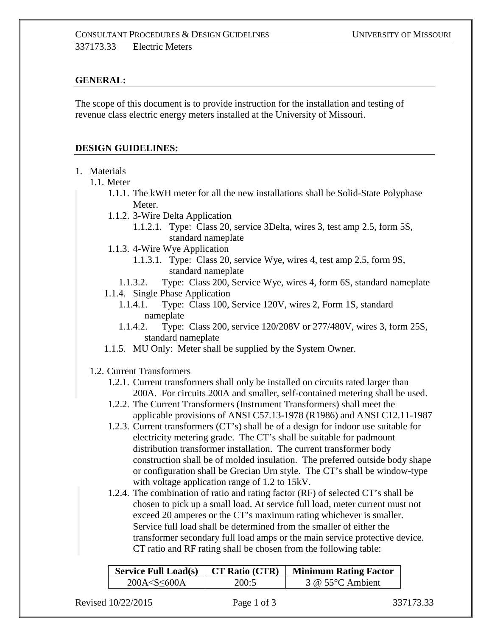# **GENERAL:**

The scope of this document is to provide instruction for the installation and testing of revenue class electric energy meters installed at the University of Missouri.

## **DESIGN GUIDELINES:**

- 1. Materials
	- 1.1. Meter
		- 1.1.1. The kWH meter for all the new installations shall be Solid-State Polyphase Meter.
		- 1.1.2. 3-Wire Delta Application
			- 1.1.2.1. Type: Class 20, service 3Delta, wires 3, test amp 2.5, form 5S, standard nameplate
		- 1.1.3. 4-Wire Wye Application
			- 1.1.3.1. Type: Class 20, service Wye, wires 4, test amp 2.5, form 9S, standard nameplate
			- 1.1.3.2. Type: Class 200, Service Wye, wires 4, form 6S, standard nameplate
		- 1.1.4. Single Phase Application
			- 1.1.4.1. Type: Class 100, Service 120V, wires 2, Form 1S, standard nameplate
			- 1.1.4.2. Type: Class 200, service 120/208V or 277/480V, wires 3, form 25S, standard nameplate
		- 1.1.5. MU Only: Meter shall be supplied by the System Owner.
	- 1.2. Current Transformers
		- 1.2.1. Current transformers shall only be installed on circuits rated larger than 200A. For circuits 200A and smaller, self-contained metering shall be used.
		- 1.2.2. The Current Transformers (Instrument Transformers) shall meet the applicable provisions of ANSI C57.13-1978 (R1986) and ANSI C12.11-1987
		- 1.2.3. Current transformers (CT's) shall be of a design for indoor use suitable for electricity metering grade. The CT's shall be suitable for padmount distribution transformer installation. The current transformer body construction shall be of molded insulation. The preferred outside body shape or configuration shall be Grecian Urn style. The CT's shall be window-type with voltage application range of 1.2 to 15kV.
		- 1.2.4. The combination of ratio and rating factor (RF) of selected CT's shall be chosen to pick up a small load. At service full load, meter current must not exceed 20 amperes or the CT's maximum rating whichever is smaller. Service full load shall be determined from the smaller of either the transformer secondary full load amps or the main service protective device. CT ratio and RF rating shall be chosen from the following table:

| Service Full Load(s) $\parallel$ |       | $\top$ CT Ratio (CTR)   Minimum Rating Factor |  |
|----------------------------------|-------|-----------------------------------------------|--|
| 200A < S < 600A                  | 200:5 | $3 \omega$ 55°C Ambient                       |  |

Revised 10/22/2015 **Page 1 of 3** 337173.33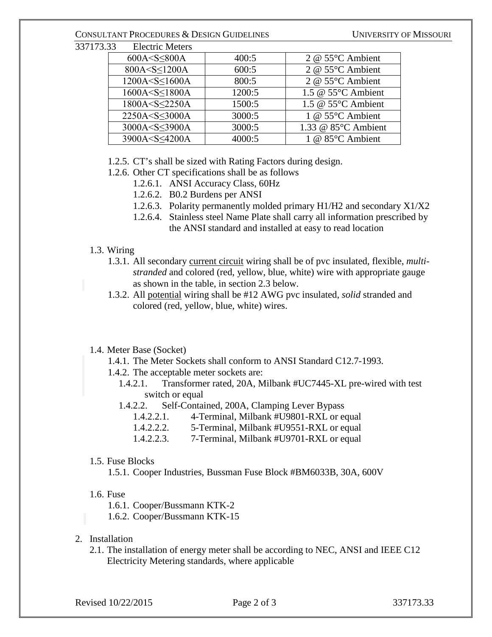### CONSULTANT PROCEDURES & DESIGN GUIDELINES UNIVERSITY OF MISSOURI

337173.33 Electric Meters

| $600A < S \leq 800A$                                                                              | 400:5  | 2 @ $55^{\circ}$ C Ambient   |
|---------------------------------------------------------------------------------------------------|--------|------------------------------|
| 800A <s<1200a< td=""><td>600:5</td><td>2 @ 55°C Ambient</td></s<1200a<>                           | 600:5  | 2 @ 55°C Ambient             |
| 1200A <s<1600a< td=""><td>800:5</td><td>2 @ <math>55^{\circ}</math>C Ambient</td></s<1600a<>      | 800:5  | 2 @ $55^{\circ}$ C Ambient   |
| 1600A <s<1800a< td=""><td>1200:5</td><td>1.5 @ <math>55^{\circ}</math>C Ambient</td></s<1800a<>   | 1200:5 | 1.5 @ $55^{\circ}$ C Ambient |
| 1800A <s<22250a< td=""><td>1500:5</td><td>1.5 @ <math>55^{\circ}</math>C Ambient</td></s<22250a<> | 1500:5 | 1.5 @ $55^{\circ}$ C Ambient |
| 2250A <s<3000a< td=""><td>3000:5</td><td>1 @ <math>55^{\circ}</math>C Ambient</td></s<3000a<>     | 3000:5 | 1 @ $55^{\circ}$ C Ambient   |
| 3000A <s<3900a< td=""><td>3000:5</td><td>1.33 @ 85°C Ambient</td></s<3900a<>                      | 3000:5 | 1.33 @ 85°C Ambient          |
| 3900A <s<4200a< td=""><td>4000:5</td><td>1 @ <math>85^{\circ}</math>C Ambient</td></s<4200a<>     | 4000:5 | 1 @ $85^{\circ}$ C Ambient   |
|                                                                                                   |        |                              |

1.2.5. CT's shall be sized with Rating Factors during design.

1.2.6. Other CT specifications shall be as follows

- 1.2.6.1. ANSI Accuracy Class, 60Hz
- 1.2.6.2. B0.2 Burdens per ANSI
- 1.2.6.3. Polarity permanently molded primary H1/H2 and secondary X1/X2
- 1.2.6.4. Stainless steel Name Plate shall carry all information prescribed by the ANSI standard and installed at easy to read location

### 1.3. Wiring

- 1.3.1. All secondary current circuit wiring shall be of pvc insulated, flexible, *multistranded* and colored (red, yellow, blue, white) wire with appropriate gauge as shown in the table, in section 2.3 below.
- 1.3.2. All potential wiring shall be #12 AWG pvc insulated, *solid* stranded and colored (red, yellow, blue, white) wires.

## 1.4. Meter Base (Socket)

- 1.4.1. The Meter Sockets shall conform to ANSI Standard C12.7-1993.
- 1.4.2. The acceptable meter sockets are:
	- 1.4.2.1. Transformer rated, 20A, Milbank #UC7445-XL pre-wired with test switch or equal
	- 1.4.2.2. Self-Contained, 200A, Clamping Lever Bypass

- 1.4.2.2.2. 5-Terminal, Milbank #U9551-RXL or equal
- 1.4.2.2.3. 7-Terminal, Milbank #U9701-RXL or equal

#### 1.5. Fuse Blocks

1.5.1. Cooper Industries, Bussman Fuse Block #BM6033B, 30A, 600V

#### 1.6. Fuse

1.6.1. Cooper/Bussmann KTK-2

1.6.2. Cooper/Bussmann KTK-15

- 2. Installation
	- 2.1. The installation of energy meter shall be according to NEC, ANSI and IEEE C12 Electricity Metering standards, where applicable